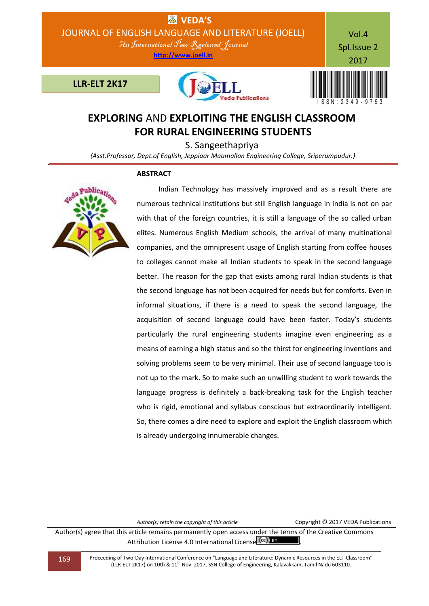

# **EXPLORING** AND **EXPLOITING THE ENGLISH CLASSROOM FOR RURAL ENGINEERING STUDENTS**

S. Sangeethapriya

 *(Asst.Professor, Dept.of English, Jeppiaar Maamallan Engineering College, Sriperumpudur.)*

### **ABSTRACT**



 Indian Technology has massively improved and as a result there are numerous technical institutions but still English language in India is not on par with that of the foreign countries, it is still a language of the so called urban elites. Numerous English Medium schools, the arrival of many multinational companies, and the omnipresent usage of English starting from coffee houses to colleges cannot make all Indian students to speak in the second language better. The reason for the gap that exists among rural Indian students is that the second language has not been acquired for needs but for comforts. Even in informal situations, if there is a need to speak the second language, the acquisition of second language could have been faster. Today's students particularly the rural engineering students imagine even engineering as a means of earning a high status and so the thirst for engineering inventions and solving problems seem to be very minimal. Their use of second language too is not up to the mark. So to make such an unwilling student to work towards the language progress is definitely a back-breaking task for the English teacher who is rigid, emotional and syllabus conscious but extraordinarily intelligent. So, there comes a dire need to explore and exploit the English classroom which is already undergoing innumerable changes.

*Author(s) retain the copyright of this article* Copyright © 2017 VEDA Publications Author(s) agree that this article remains permanently open access under the terms of the Creative Commons Attribution License 4.0 International License CCC) BY

169 Proceeding of Two-Day International Conference on "Language and Literature: Dynamic Resources in the ELT Classroom" (LLR-ELT 2K17) on 10th & 11th Nov. 2017, SSN College of Engineering, Kalavakkam, Tamil Nadu 603110.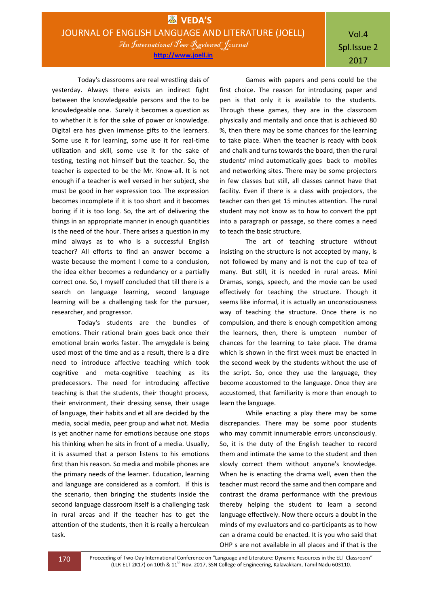### Vol.4 Spl.Issue 2 2017

Today's classrooms are real wrestling dais of yesterday. Always there exists an indirect fight between the knowledgeable persons and the to be knowledgeable one. Surely it becomes a question as to whether it is for the sake of power or knowledge. Digital era has given immense gifts to the learners. Some use it for learning, some use it for real-time utilization and skill, some use it for the sake of testing, testing not himself but the teacher. So, the teacher is expected to be the Mr. Know-all. It is not enough if a teacher is well versed in her subject, she must be good in her expression too. The expression becomes incomplete if it is too short and it becomes boring if it is too long. So, the art of delivering the things in an appropriate manner in enough quantities is the need of the hour. There arises a question in my mind always as to who is a successful English teacher? All efforts to find an answer become a waste because the moment I come to a conclusion, the idea either becomes a redundancy or a partially correct one. So, I myself concluded that till there is a search on language learning, second language learning will be a challenging task for the pursuer, researcher, and progressor.

Today's students are the bundles of emotions. Their rational brain goes back once their emotional brain works faster. The amygdale is being used most of the time and as a result, there is a dire need to introduce affective teaching which took cognitive and meta-cognitive teaching as its predecessors. The need for introducing affective teaching is that the students, their thought process, their environment, their dressing sense, their usage of language, their habits and et all are decided by the media, social media, peer group and what not. Media is yet another name for emotions because one stops his thinking when he sits in front of a media. Usually, it is assumed that a person listens to his emotions first than his reason. So media and mobile phones are the primary needs of the learner. Education, learning and language are considered as a comfort. If this is the scenario, then bringing the students inside the second language classroom itself is a challenging task in rural areas and if the teacher has to get the attention of the students, then it is really a herculean task.

Games with papers and pens could be the first choice. The reason for introducing paper and pen is that only it is available to the students. Through these games, they are in the classroom physically and mentally and once that is achieved 80 %, then there may be some chances for the learning to take place. When the teacher is ready with book and chalk and turns towards the board, then the rural students' mind automatically goes back to mobiles and networking sites. There may be some projectors in few classes but still, all classes cannot have that facility. Even if there is a class with projectors, the teacher can then get 15 minutes attention. The rural student may not know as to how to convert the ppt into a paragraph or passage, so there comes a need to teach the basic structure.

 The art of teaching structure without insisting on the structure is not accepted by many, is not followed by many and is not the cup of tea of many. But still, it is needed in rural areas. Mini Dramas, songs, speech, and the movie can be used effectively for teaching the structure. Though it seems like informal, it is actually an unconsciousness way of teaching the structure. Once there is no compulsion, and there is enough competition among the learners, then, there is umpteen number of chances for the learning to take place. The drama which is shown in the first week must be enacted in the second week by the students without the use of the script. So, once they use the language, they become accustomed to the language. Once they are accustomed, that familiarity is more than enough to learn the language.

While enacting a play there may be some discrepancies. There may be some poor students who may commit innumerable errors unconsciously. So, it is the duty of the English teacher to record them and intimate the same to the student and then slowly correct them without anyone's knowledge. When he is enacting the drama well, even then the teacher must record the same and then compare and contrast the drama performance with the previous thereby helping the student to learn a second language effectively. Now there occurs a doubt in the minds of my evaluators and co-participants as to how can a drama could be enacted. It is you who said that OHP s are not available in all places and if that is the

170 Proceeding of Two-Day International Conference on "Language and Literature: Dynamic Resources in the ELT Classroom" (LLR-ELT 2K17) on 10th & 11<sup>th</sup> Nov. 2017, SSN College of Engineering, Kalavakkam, Tamil Nadu 603110.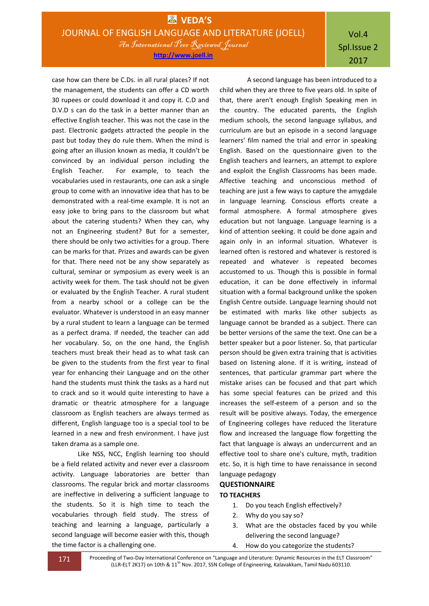**http://www.joell.in**

## Vol.4 Spl.Issue 2 2017

case how can there be C.Ds. in all rural places? If not the management, the students can offer a CD worth 30 rupees or could download it and copy it. C.D and D.V.D s can do the task in a better manner than an effective English teacher. This was not the case in the past. Electronic gadgets attracted the people in the past but today they do rule them. When the mind is going after an illusion known as media, It couldn't be convinced by an individual person including the English Teacher. For example, to teach the vocabularies used in restaurants, one can ask a single group to come with an innovative idea that has to be demonstrated with a real-time example. It is not an easy joke to bring pans to the classroom but what about the catering students? When they can, why not an Engineering student? But for a semester, there should be only two activities for a group. There can be marks for that. Prizes and awards can be given for that. There need not be any show separately as cultural, seminar or symposium as every week is an activity week for them. The task should not be given or evaluated by the English Teacher. A rural student from a nearby school or a college can be the evaluator. Whatever is understood in an easy manner by a rural student to learn a language can be termed as a perfect drama. If needed, the teacher can add her vocabulary. So, on the one hand, the English teachers must break their head as to what task can be given to the students from the first year to final year for enhancing their Language and on the other hand the students must think the tasks as a hard nut to crack and so it would quite interesting to have a dramatic or theatric atmosphere for a language classroom as English teachers are always termed as different, English language too is a special tool to be learned in a new and fresh environment. I have just taken drama as a sample one.

Like NSS, NCC, English learning too should be a field related activity and never ever a classroom activity. Language laboratories are better than classrooms. The regular brick and mortar classrooms are ineffective in delivering a sufficient language to the students. So it is high time to teach the vocabularies through field study. The stress of teaching and learning a language, particularly a second language will become easier with this, though the time factor is a challenging one.

 A second language has been introduced to a child when they are three to five years old. In spite of that, there aren't enough English Speaking men in the country. The educated parents, the English medium schools, the second language syllabus, and curriculum are but an episode in a second language learners' film named the trial and error in speaking English. Based on the questionnaire given to the English teachers and learners, an attempt to explore and exploit the English Classrooms has been made. Affective teaching and unconscious method of teaching are just a few ways to capture the amygdale in language learning. Conscious efforts create a formal atmosphere. A formal atmosphere gives education but not language. Language learning is a kind of attention seeking. It could be done again and again only in an informal situation. Whatever is learned often is restored and whatever is restored is repeated and whatever is repeated becomes accustomed to us. Though this is possible in formal education, it can be done effectively in informal situation with a formal background unlike the spoken English Centre outside. Language learning should not be estimated with marks like other subjects as language cannot be branded as a subject. There can be better versions of the same the text. One can be a better speaker but a poor listener. So, that particular person should be given extra training that is activities based on listening alone. If it is writing, instead of sentences, that particular grammar part where the mistake arises can be focused and that part which has some special features can be prized and this increases the self-esteem of a person and so the result will be positive always. Today, the emergence of Engineering colleges have reduced the literature flow and increased the language flow forgetting the fact that language is always an undercurrent and an effective tool to share one's culture, myth, tradition etc. So, it is high time to have renaissance in second language pedagogy

### **QUESTIONNAIRE**

#### **TO TEACHERS**

- 1. Do you teach English effectively?
- 2. Why do you say so?
- 3. What are the obstacles faced by you while delivering the second language?
- 4. How do you categorize the students?

171 Proceeding of Two-Day International Conference on "Language and Literature: Dynamic Resources in the ELT Classroom" (LLR-ELT 2K17) on 10th & 11<sup>th</sup> Nov. 2017, SSN College of Engineering, Kalavakkam, Tamil Nadu 603110.